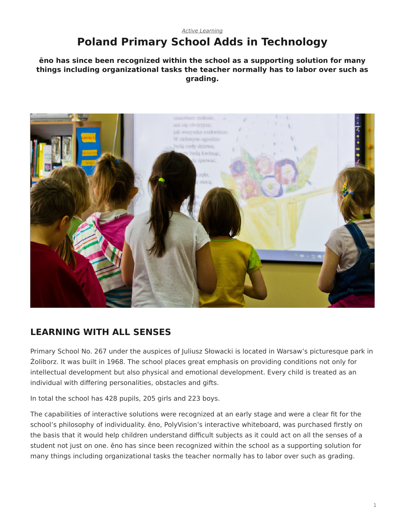### <span id="page-0-0"></span>*[Active Learning](https://www.steelcase.com/research/topics/active-learning/)* **Poland Primary School Adds in Technology**

**ēno has since been recognized within the school as a supporting solution for many things including organizational tasks the teacher normally has to labor over such as grading.**



## **LEARNING WITH ALL SENSES**

Primary School No. 267 under the auspices of Juliusz Słowacki is located in Warsaw's picturesque park in Żoliborz. It was built in 1968. The school places great emphasis on providing conditions not only for intellectual development but also physical and emotional development. Every child is treated as an individual with differing personalities, obstacles and gifts.

In total the school has 428 pupils, 205 girls and 223 boys.

The capabilities of interactive solutions were recognized at an early stage and were a clear fit for the school's philosophy of individuality. ēno, PolyVision's interactive whiteboard, was purchased firstly on the basis that it would help children understand difficult subjects as it could act on all the senses of a student not just on one. ēno has since been recognized within the school as a supporting solution for many things including organizational tasks the teacher normally has to labor over such as grading.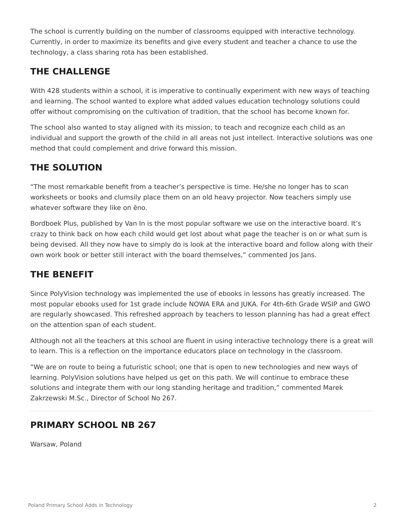The school is currently building on the number of classrooms equipped with interactive technology. Currently, in order to maximize its benefits and give every student and teacher a chance to use the technology, a class sharing rota has been established.

## **THE CHALLENGE**

With 428 students within a school, it is imperative to continually experiment with new ways of teaching and learning. The school wanted to explore what added values education technology solutions could offer without compromising on the cultivation of tradition, that the school has become known for.

The school also wanted to stay aligned with its mission; to teach and recognize each child as an individual and support the growth of the child in all areas not just intellect. Interactive solutions was one method that could complement and drive forward this mission.

# **THE SOLUTION**

"The most remarkable benefit from a teacher's perspective is time. He/she no longer has to scan worksheets or books and clumsily place them on an old heavy projector. Now teachers simply use whatever software they like on ēno.

Bordboek Plus, published by Van In is the most popular software we use on the interactive board. It's crazy to think back on how each child would get lost about what page the teacher is on or what sum is being devised. All they now have to simply do is look at the interactive board and follow along with their own work book or better still interact with the board themselves," commented Jos Jans.

## **THE BENEFIT**

Since PolyVision technology was implemented the use of ebooks in lessons has greatly increased. The most popular ebooks used for 1st grade include NOWA ERA and JUKA. For 4th-6th Grade WSIP and GWO are regularly showcased. This refreshed approach by teachers to lesson planning has had a great effect on the attention span of each student.

Although not all the teachers at this school are fluent in using interactive technology there is a great will to learn. This is a reflection on the importance educators place on technology in the classroom.

"We are on route to being a futuristic school; one that is open to new technologies and new ways of learning. PolyVision solutions have helped us get on this path. We will continue to embrace these solutions and integrate them with our long standing heritage and tradition," commented Marek Zakrzewski M.Sc., Director of School No 267.

## **PRIMARY SCHOOL NB 267**

Warsaw, Poland